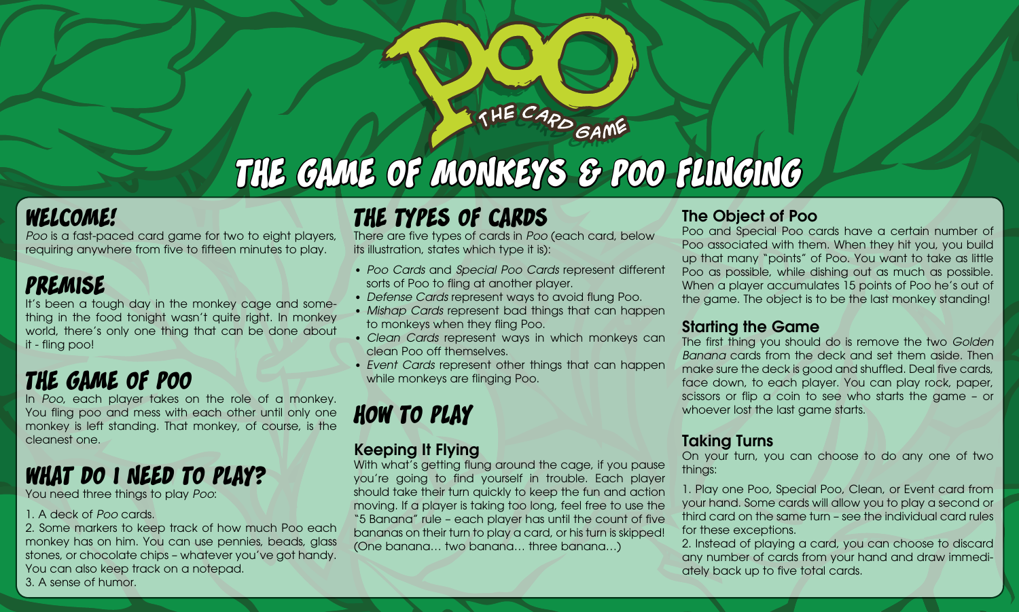# the game of monkeys & poo flinging

THE CARD GAME

### welcome!

*Poo* is a fast-paced card game for two to eight players, requiring anywhere from five to fifteen minutes to play.

# premise

It's been a tough day in the monkey cage and something in the food tonight wasn't quite right. In monkey world, there's only one thing that can be done about it - fling poo!

# the game of poo

In *Poo*, each player takes on the role of a monkey. You fling poo and mess with each other until only one monkey is left standing. That monkey, of course, is the cleanest one.

# what do i need to play?

You need three things to play *Poo*:

#### 1. A deck of *Poo* cards.

2. Some markers to keep track of how much Poo each monkey has on him. You can use pennies, beads, glass stones, or chocolate chips – whatever you've got handy. You can also keep track on a notepad. 3. A sense of humor.

# the types of cards

There are five types of cards in *Poo* (each card, below its illustration, states which type it is):

- *Poo Cards* and *Special Poo Cards* represent different sorts of Poo to fling at another player.
- *Defense Cards* represent ways to avoid flung Poo. •
- *Mishap Cards* represent bad things that can happen to monkeys when they fling Poo.
- *Clean Cards* represent ways in which monkeys can clean Poo off themselves.
- *Event Cards* represent other things that can happen •while monkeys are flinging Poo.

# how to play

### Keeping It Flying

With what's getting flung around the cage, if you pause you're going to find yourself in trouble. Each player should take their turn quickly to keep the fun and action moving. If a player is taking too long, feel free to use the "5 Banana" rule – each player has until the count of five bananas on their turn to play a card, or his turn is skipped! (One banana… two banana… three banana…)

### The Object of Poo

Poo and Special Poo cards have a certain number of Poo associated with them. When they hit you, you build up that many "points" of Poo. You want to take as little Poo as possible, while dishing out as much as possible. When a player accumulates 15 points of Poo he's out of the game. The object is to be the last monkey standing!

### Starting the Game

The first thing you should do is remove the two *Golden Banana* cards from the deck and set them aside. Then make sure the deck is good and shuffled. Deal five cards, face down, to each player. You can play rock, paper, scissors or flip a coin to see who starts the game – or whoever lost the last game starts.

### Taking Turns

On your turn, you can choose to do any one of two things:

1. Play one Poo, Special Poo, Clean, or Event card from your hand. Some cards will allow you to play a second or third card on the same turn – see the individual card rules for these exceptions.

2. Instead of playing a card, you can choose to discard any number of cards from your hand and draw immediately back up to five total cards.